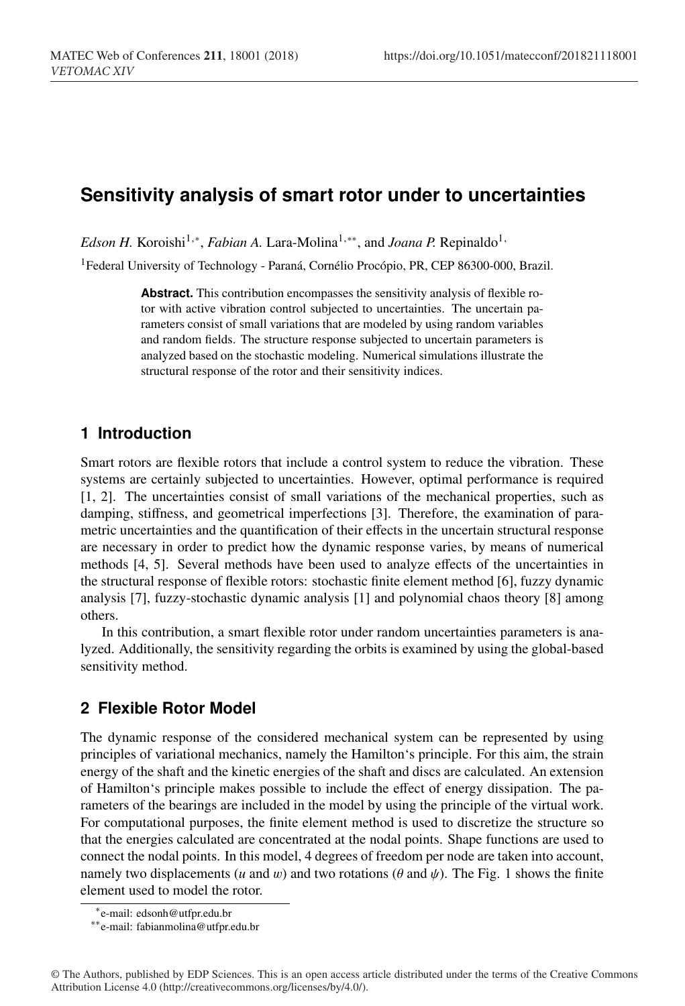# **Sensitivity analysis of smart rotor under to uncertainties**

*Edson H.* Koroishi<sup>1,\*</sup>, *Fabian A.* Lara-Molina<sup>1,\*\*</sup>, and *Joana P.* Repinaldo<sup>1,</sup>

<sup>1</sup>Federal University of Technology - Paraná, Cornélio Procópio, PR, CEP 86300-000, Brazil.

**Abstract.** This contribution encompasses the sensitivity analysis of flexible rotor with active vibration control subjected to uncertainties. The uncertain parameters consist of small variations that are modeled by using random variables and random fields. The structure response subjected to uncertain parameters is analyzed based on the stochastic modeling. Numerical simulations illustrate the structural response of the rotor and their sensitivity indices.

## **1 Introduction**

Smart rotors are flexible rotors that include a control system to reduce the vibration. These systems are certainly subjected to uncertainties. However, optimal performance is required [1, 2]. The uncertainties consist of small variations of the mechanical properties, such as damping, stiffness, and geometrical imperfections [3]. Therefore, the examination of parametric uncertainties and the quantification of their effects in the uncertain structural response are necessary in order to predict how the dynamic response varies, by means of numerical methods [4, 5]. Several methods have been used to analyze effects of the uncertainties in the structural response of flexible rotors: stochastic finite element method [6], fuzzy dynamic analysis [7], fuzzy-stochastic dynamic analysis [1] and polynomial chaos theory [8] among others.

In this contribution, a smart flexible rotor under random uncertainties parameters is analyzed. Additionally, the sensitivity regarding the orbits is examined by using the global-based sensitivity method.

# **2 Flexible Rotor Model**

The dynamic response of the considered mechanical system can be represented by using principles of variational mechanics, namely the Hamilton's principle. For this aim, the strain energy of the shaft and the kinetic energies of the shaft and discs are calculated. An extension of Hamilton's principle makes possible to include the effect of energy dissipation. The parameters of the bearings are included in the model by using the principle of the virtual work. For computational purposes, the finite element method is used to discretize the structure so that the energies calculated are concentrated at the nodal points. Shape functions are used to connect the nodal points. In this model, 4 degrees of freedom per node are taken into account, namely two displacements (*u* and *w*) and two rotations ( $\theta$  and  $\psi$ ). The Fig. 1 shows the finite element used to model the rotor.

<sup>∗</sup>e-mail: edsonh@utfpr.edu.br

<sup>∗∗</sup>e-mail: fabianmolina@utfpr.edu.br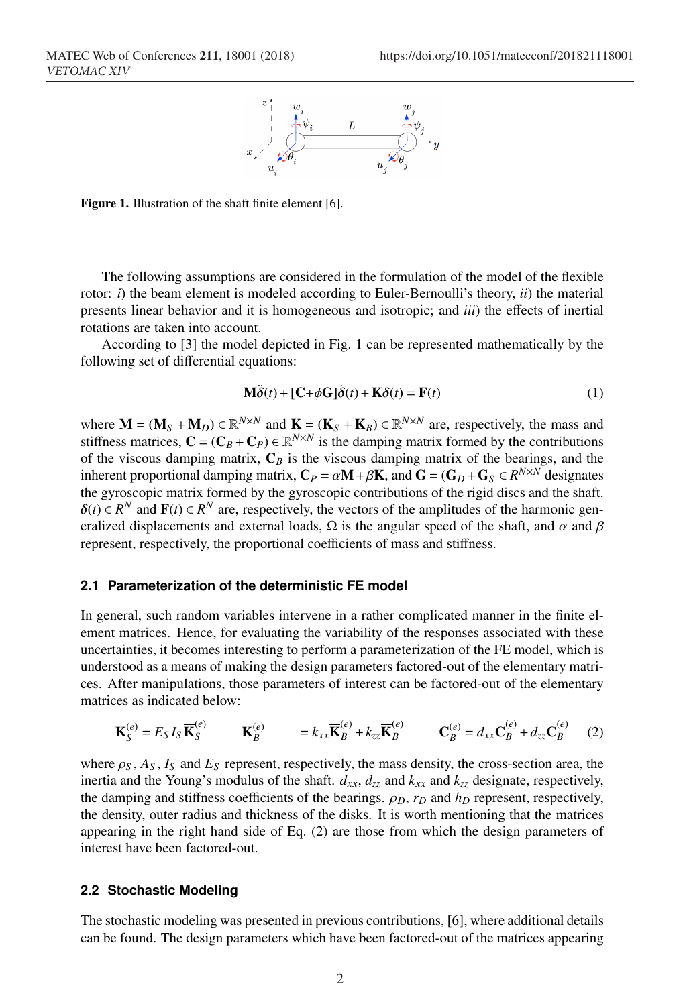

Figure 1. Illustration of the shaft finite element [6].

The following assumptions are considered in the formulation of the model of the flexible rotor: *i*) the beam element is modeled according to Euler-Bernoulli's theory, *ii*) the material presents linear behavior and it is homogeneous and isotropic; and *iii*) the effects of inertial rotations are taken into account.

According to [3] the model depicted in Fig. 1 can be represented mathematically by the following set of differential equations:

$$
\mathbf{M}\ddot{\mathbf{\delta}}(t) + [\mathbf{C} + \phi \mathbf{G}]\dot{\mathbf{\delta}}(t) + \mathbf{K}\delta(t) = \mathbf{F}(t)
$$
\n(1)

where  $M = (M_S + M_D) \in \mathbb{R}^{N \times N}$  and  $K = (K_S + K_B) \in \mathbb{R}^{N \times N}$  are, respectively, the mass and stiffness matrices,  $C = (C_B + C_P) \in \mathbb{R}^{N \times N}$  is the damping matrix formed by the contributions of the viscous damping matrix,  $C_B$  is the viscous damping matrix of the bearings, and the inherent proportional damping matrix,  $C_P = \alpha M + \beta K$ , and  $G = (G_D + G_S \in R^{N \times N})$  designates the gyroscopic matrix formed by the gyroscopic contributions of the rigid discs and the shaft.  $\delta(t) \in R^N$  and  $\mathbf{F}(t) \in R^N$  are, respectively, the vectors of the amplitudes of the harmonic generalized displacements and external loads,  $\Omega$  is the angular speed of the shaft, and  $\alpha$  and  $\beta$ represent, respectively, the proportional coefficients of mass and stiffness.

#### **2.1 Parameterization of the deterministic FE model**

In general, such random variables intervene in a rather complicated manner in the finite element matrices. Hence, for evaluating the variability of the responses associated with these uncertainties, it becomes interesting to perform a parameterization of the FE model, which is understood as a means of making the design parameters factored-out of the elementary matrices. After manipulations, those parameters of interest can be factored-out of the elementary matrices as indicated below:

$$
\mathbf{K}_{S}^{(e)} = E_{S} I_{S} \overline{\mathbf{K}}_{S}^{(e)} \qquad \mathbf{K}_{B}^{(e)} \qquad = k_{xx} \overline{\mathbf{K}}_{B}^{(e)} + k_{zz} \overline{\mathbf{K}}_{B}^{(e)} \qquad \mathbf{C}_{B}^{(e)} = d_{xx} \overline{\mathbf{C}}_{B}^{(e)} + d_{zz} \overline{\mathbf{C}}_{B}^{(e)} \qquad (2)
$$

where  $\rho_S$ ,  $A_S$ ,  $I_S$  and  $E_S$  represent, respectively, the mass density, the cross-section area, the inertia and the Young's modulus of the shaft.  $d_{xx}$ ,  $d_{zz}$  and  $k_{xx}$  and  $k_{zz}$  designate, respectively, the damping and stiffness coefficients of the bearings.  $ρ<sub>D</sub>$ ,  $r<sub>D</sub>$  and  $h<sub>D</sub>$  represent, respectively, the density, outer radius and thickness of the disks. It is worth mentioning that the matrices appearing in the right hand side of Eq. (2) are those from which the design parameters of interest have been factored-out.

### **2.2 Stochastic Modeling**

The stochastic modeling was presented in previous contributions, [6], where additional details can be found. The design parameters which have been factored-out of the matrices appearing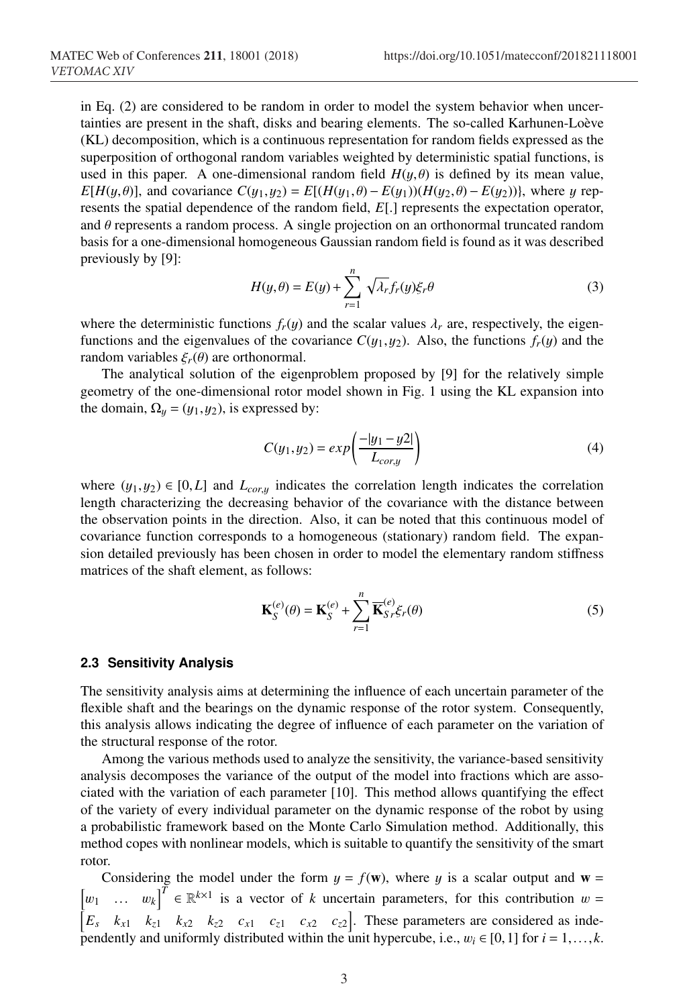in Eq. (2) are considered to be random in order to model the system behavior when uncertainties are present in the shaft, disks and bearing elements. The so-called Karhunen-Loève (KL) decomposition, which is a continuous representation for random fields expressed as the superposition of orthogonal random variables weighted by deterministic spatial functions, is used in this paper. A one-dimensional random field  $H(y, \theta)$  is defined by its mean value, *E*[ $H(y, \theta)$ ], and covariance  $C(y_1, y_2) = E[(H(y_1, \theta) - E(y_1))(H(y_2, \theta) - E(y_2))$ }, where y represents the spatial dependence of the random field, *E*[.] represents the expectation operator, and  $\theta$  represents a random process. A single projection on an orthonormal truncated random basis for a one-dimensional homogeneous Gaussian random field is found as it was described previously by [9]:

$$
H(y,\theta) = E(y) + \sum_{r=1}^{n} \sqrt{\lambda_r} f_r(y) \xi_r \theta
$$
 (3)

where the deterministic functions  $f_r(y)$  and the scalar values  $\lambda_r$  are, respectively, the eigenfunctions and the eigenvalues of the covariance  $C(y_1, y_2)$ . Also, the functions  $f_r(y)$  and the random variables  $\xi_r(\theta)$  are orthonormal.

The analytical solution of the eigenproblem proposed by [9] for the relatively simple geometry of the one-dimensional rotor model shown in Fig. 1 using the KL expansion into the domain,  $\Omega_y = (y_1, y_2)$ , is expressed by:

$$
C(y_1, y_2) = exp\left(\frac{-|y_1 - y_2|}{L_{cor,y}}\right)
$$
 (4)

where  $(y_1, y_2) \in [0, L]$  and  $L_{\text{corr}, y}$  indicates the correlation length indicates the correlation length characterizing the decreasing behavior of the covariance with the distance between the observation points in the direction. Also, it can be noted that this continuous model of covariance function corresponds to a homogeneous (stationary) random field. The expansion detailed previously has been chosen in order to model the elementary random stiffness matrices of the shaft element, as follows:

$$
\mathbf{K}_{S}^{(e)}(\theta) = \mathbf{K}_{S}^{(e)} + \sum_{r=1}^{n} \overline{\mathbf{K}}_{S}^{(e)} f_{r}(\theta)
$$
 (5)

#### **2.3 Sensitivity Analysis**

The sensitivity analysis aims at determining the influence of each uncertain parameter of the flexible shaft and the bearings on the dynamic response of the rotor system. Consequently, this analysis allows indicating the degree of influence of each parameter on the variation of the structural response of the rotor.

Among the various methods used to analyze the sensitivity, the variance-based sensitivity analysis decomposes the variance of the output of the model into fractions which are associated with the variation of each parameter [10]. This method allows quantifying the effect of the variety of every individual parameter on the dynamic response of the robot by using a probabilistic framework based on the Monte Carlo Simulation method. Additionally, this method copes with nonlinear models, which is suitable to quantify the sensitivity of the smart rotor.

Considering the model under the form  $y = f(w)$ , where y is a scalar output and  $w =$  $\begin{bmatrix} w_1 & \dots & w_k \end{bmatrix}^T \in \mathbb{R}^{k \times 1}$  is a vector of *k* uncertain parameters, for this contribution  $w =$ <br> $\begin{bmatrix} F_{c_1} & k_{c_1} & k_{c_2} & k_{c_3} & k_{c_4} & k_{c_5} & k_{c_6} \end{bmatrix}$ . These parameters are considered as inde- $E_s$   $k_{x1}$   $k_{z1}$   $k_{x2}$   $k_{z2}$   $c_{x1}$   $c_{z1}$   $c_{x2}$   $c_{z2}$ . These parameters are considered as independently and uniformly distributed within the unit hypercube, i.e.,  $w_i \in [0,1]$  for  $i = 1,...,k$ .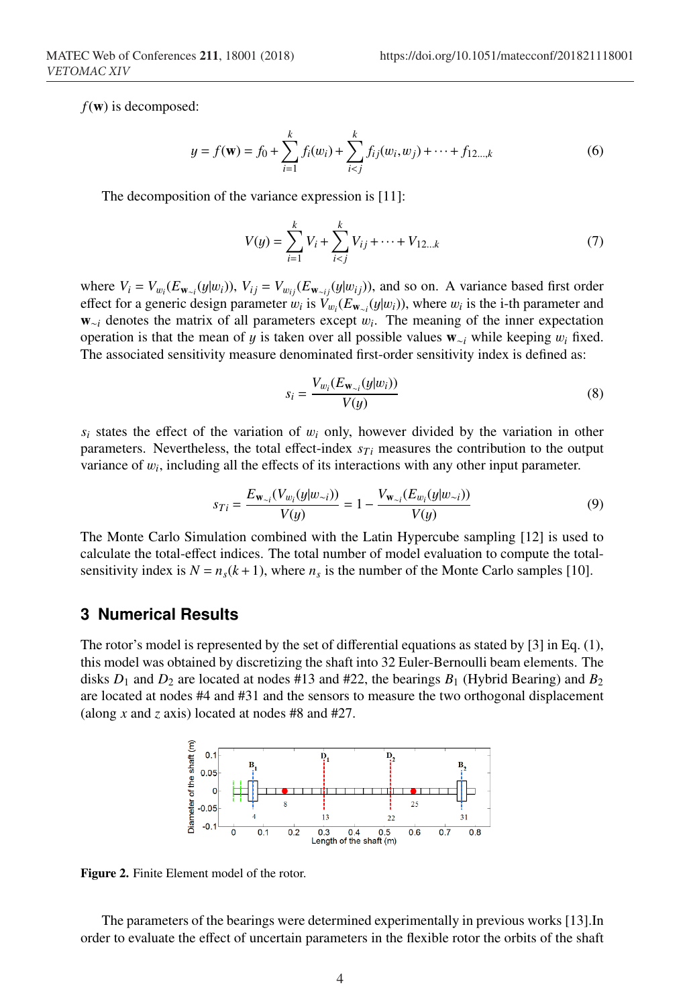*f*(w) is decomposed:

$$
y = f(\mathbf{w}) = f_0 + \sum_{i=1}^k f_i(w_i) + \sum_{i < j}^k f_{ij}(w_i, w_j) + \dots + f_{12\ldots,k} \tag{6}
$$

The decomposition of the variance expression is [11]:

$$
V(y) = \sum_{i=1}^{k} V_i + \sum_{i < j}^{k} V_{ij} + \dots + V_{12\dots k} \tag{7}
$$

where  $V_i = V_{w_i}(E_{\mathbf{w}_{\sim i}}(y|w_i))$ ,  $V_{ij} = V_{w_{ij}}(E_{\mathbf{w}_{\sim ij}}(y|w_{ij}))$ , and so on. A variance based first order effect for a generic design parameter  $w_i$  is  $V_{w_i}(E_{\mathbf{w}_{\sim i}}(y|w_i))$ , where  $w_i$  is the i-th parameter and w∼*<sup>i</sup>* denotes the matrix of all parameters except w*i*. The meaning of the inner expectation operation is that the mean of y is taken over all possible values w∼*<sup>i</sup>* while keeping w*<sup>i</sup>* fixed. The associated sensitivity measure denominated first-order sensitivity index is defined as:

$$
s_i = \frac{V_{w_i}(E_{\mathbf{w}_{\sim i}}(y|w_i))}{V(y)}
$$
\n
$$
(8)
$$

 $s_i$  states the effect of the variation of  $w_i$  only, however divided by the variation in other parameters. Nevertheless, the total effect-index  $s_{Ti}$  measures the contribution to the output variance of w*i*, including all the effects of its interactions with any other input parameter.

$$
s_{Ti} = \frac{E_{\mathbf{w}_{\sim i}}(V_{w_i}(y|w_{\sim i}))}{V(y)} = 1 - \frac{V_{\mathbf{w}_{\sim i}}(E_{w_i}(y|w_{\sim i}))}{V(y)}
$$
(9)

The Monte Carlo Simulation combined with the Latin Hypercube sampling [12] is used to calculate the total-effect indices. The total number of model evaluation to compute the totalsensitivity index is  $N = n<sub>s</sub>(k+1)$ , where  $n<sub>s</sub>$  is the number of the Monte Carlo samples [10].

### **3 Numerical Results**

The rotor's model is represented by the set of differential equations as stated by [3] in Eq. (1), this model was obtained by discretizing the shaft into 32 Euler-Bernoulli beam elements. The disks  $D_1$  and  $D_2$  are located at nodes #13 and #22, the bearings  $B_1$  (Hybrid Bearing) and  $B_2$ are located at nodes #4 and #31 and the sensors to measure the two orthogonal displacement (along *x* and *z* axis) located at nodes #8 and #27.



Figure 2. Finite Element model of the rotor.

The parameters of the bearings were determined experimentally in previous works [13].In order to evaluate the effect of uncertain parameters in the flexible rotor the orbits of the shaft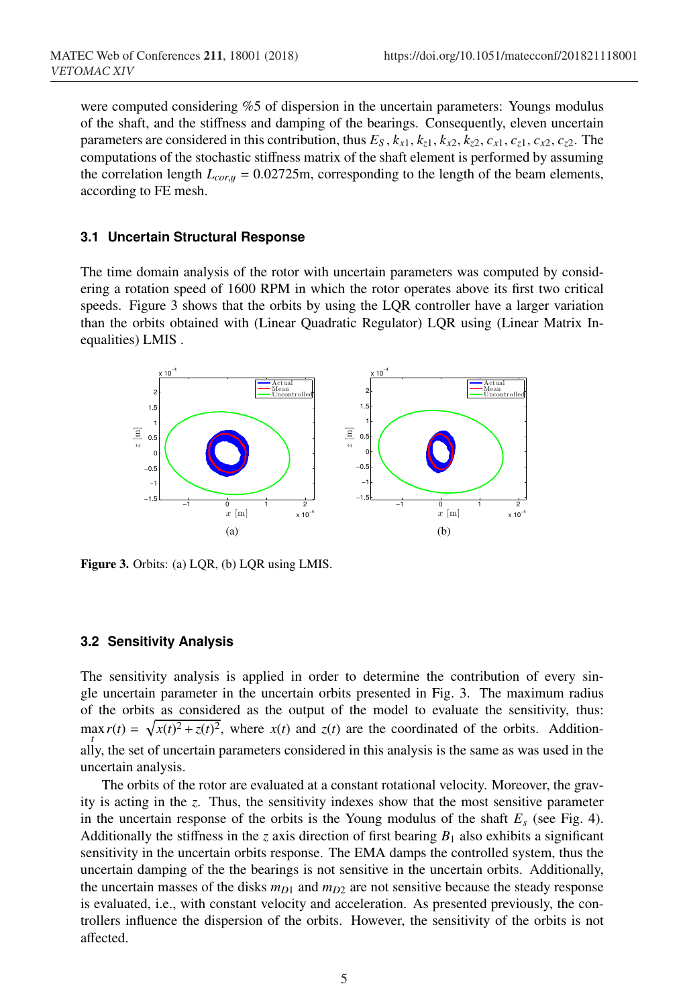were computed considering %5 of dispersion in the uncertain parameters: Youngs modulus of the shaft, and the stiffness and damping of the bearings. Consequently, eleven uncertain parameters are considered in this contribution, thus  $E_S$ ,  $k_{x1}$ ,  $k_{z1}$ ,  $k_{z2}$ ,  $k_{z2}$ ,  $c_{x1}$ ,  $c_{x1}$ ,  $c_{x2}$ ,  $c_{z2}$ . The computations of the stochastic stiffness matrix of the shaft element is performed by assuming the correlation length  $L_{corr} = 0.02725$ m, corresponding to the length of the beam elements, according to FE mesh.

#### **3.1 Uncertain Structural Response**

The time domain analysis of the rotor with uncertain parameters was computed by considering a rotation speed of 1600 RPM in which the rotor operates above its first two critical speeds. Figure 3 shows that the orbits by using the LQR controller have a larger variation than the orbits obtained with (Linear Quadratic Regulator) LQR using (Linear Matrix Inequalities) LMIS .



Figure 3. Orbits: (a) LQR, (b) LQR using LMIS.

#### **3.2 Sensitivity Analysis**

The sensitivity analysis is applied in order to determine the contribution of every single uncertain parameter in the uncertain orbits presented in Fig. 3. The maximum radius of the orbits as considered as the output of the model to evaluate the sensitivity, thus:  $\max_t r(t) = \sqrt{x(t)^2 + z(t)^2}$ , where  $x(t)$  and  $z(t)$  are the coordinated of the orbits. Additionally, the set of uncertain parameters considered in this analysis is the same as was used in the uncertain analysis.

The orbits of the rotor are evaluated at a constant rotational velocity. Moreover, the gravity is acting in the *z*. Thus, the sensitivity indexes show that the most sensitive parameter in the uncertain response of the orbits is the Young modulus of the shaft  $E_s$  (see Fig. 4). Additionally the stiffness in the *z* axis direction of first bearing  $B_1$  also exhibits a significant sensitivity in the uncertain orbits response. The EMA damps the controlled system, thus the uncertain damping of the the bearings is not sensitive in the uncertain orbits. Additionally, the uncertain masses of the disks  $m_{D1}$  and  $m_{D2}$  are not sensitive because the steady response is evaluated, i.e., with constant velocity and acceleration. As presented previously, the controllers influence the dispersion of the orbits. However, the sensitivity of the orbits is not affected.